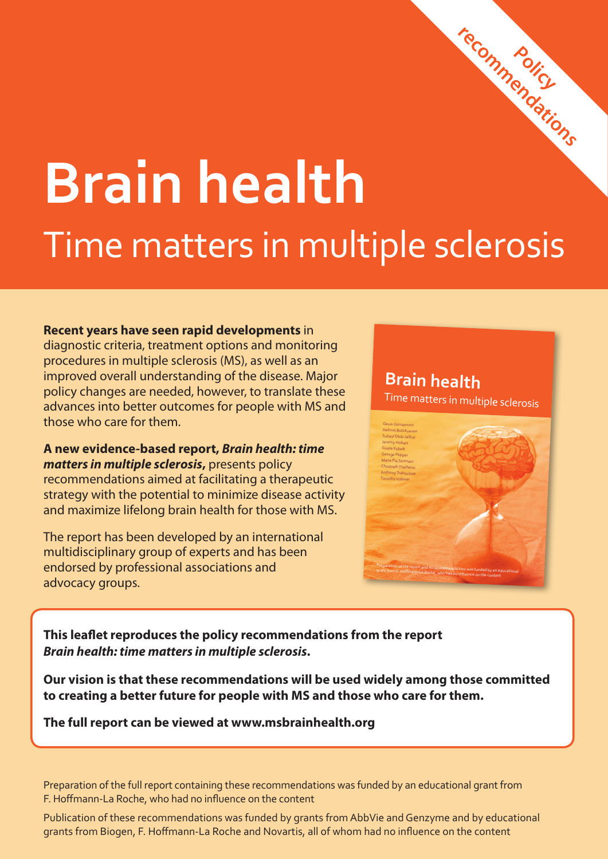# **Brain health** Time matters in multiple sclerosis

#### **Recent years have seen rapid developments** in

diagnostic criteria, treatment options and monitoring procedures in multiple sclerosis (MS), as well as an improved overall understanding of the disease. Major policy changes are needed, however, to translate these advances into better outcomes for people with MS and those who care for them.

**A new evidence-based report,** *Brain health: time matters in multiple sclerosis*, presents policy recommendations aimed at facilitating a therapeutic strategy with the potential to minimize disease activity and maximize lifelong brain health for those with MS.

The report has been developed by an international multidisciplinary group of experts and has been endorsed by professional associations and advocacy groups.

### **Brain health**

Time matters in multiple sclerosis

**Policy** 

**recommendations**



**This leaflet reproduces the policy recommendations from the report**  *Brain health: time matters in multiple sclerosis***.** 

**Our vision is that these recommendations will be used widely among those committed to creating a better future for people with MS and those who care for them.**

**The full report can be viewed at www.msbrainhealth.org**

Preparation of the full report containing these recommendations was funded by an educational grant from F. Hoffmann-La Roche, who had no influence on the content

Publication of these recommendations was funded by grants from AbbVie and Genzyme and by educational grants from Biogen, F. Hoffmann-La Roche and Novartis, all of whom had no influence on the content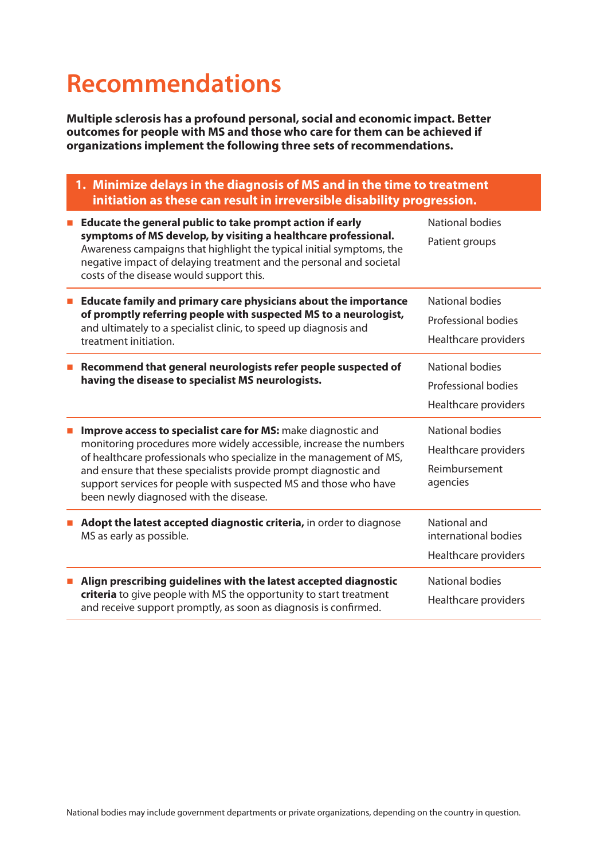## **Recommendations**

**Multiple sclerosis has a profound personal, social and economic impact. Better outcomes for people with MS and those who care for them can be achieved if organizations implement the following three sets of recommendations.**

| 1. Minimize delays in the diagnosis of MS and in the time to treatment<br>initiation as these can result in irreversible disability progression.                                                                                                                                                                                                                                            |                                                                             |  |
|---------------------------------------------------------------------------------------------------------------------------------------------------------------------------------------------------------------------------------------------------------------------------------------------------------------------------------------------------------------------------------------------|-----------------------------------------------------------------------------|--|
| Educate the general public to take prompt action if early<br>symptoms of MS develop, by visiting a healthcare professional.<br>Awareness campaigns that highlight the typical initial symptoms, the<br>negative impact of delaying treatment and the personal and societal<br>costs of the disease would support this.                                                                      | <b>National bodies</b><br>Patient groups                                    |  |
| Educate family and primary care physicians about the importance<br><b>C</b><br>of promptly referring people with suspected MS to a neurologist,<br>and ultimately to a specialist clinic, to speed up diagnosis and<br>treatment initiation.                                                                                                                                                | <b>National bodies</b><br>Professional bodies<br>Healthcare providers       |  |
| Recommend that general neurologists refer people suspected of<br>having the disease to specialist MS neurologists.                                                                                                                                                                                                                                                                          | National bodies<br>Professional bodies<br>Healthcare providers              |  |
| Improve access to specialist care for MS: make diagnostic and<br>monitoring procedures more widely accessible, increase the numbers<br>of healthcare professionals who specialize in the management of MS,<br>and ensure that these specialists provide prompt diagnostic and<br>support services for people with suspected MS and those who have<br>been newly diagnosed with the disease. | <b>National bodies</b><br>Healthcare providers<br>Reimbursement<br>agencies |  |
| Adopt the latest accepted diagnostic criteria, in order to diagnose<br>MS as early as possible.                                                                                                                                                                                                                                                                                             | National and<br>international bodies<br>Healthcare providers                |  |
| Align prescribing guidelines with the latest accepted diagnostic<br>criteria to give people with MS the opportunity to start treatment<br>and receive support promptly, as soon as diagnosis is confirmed.                                                                                                                                                                                  | <b>National bodies</b><br>Healthcare providers                              |  |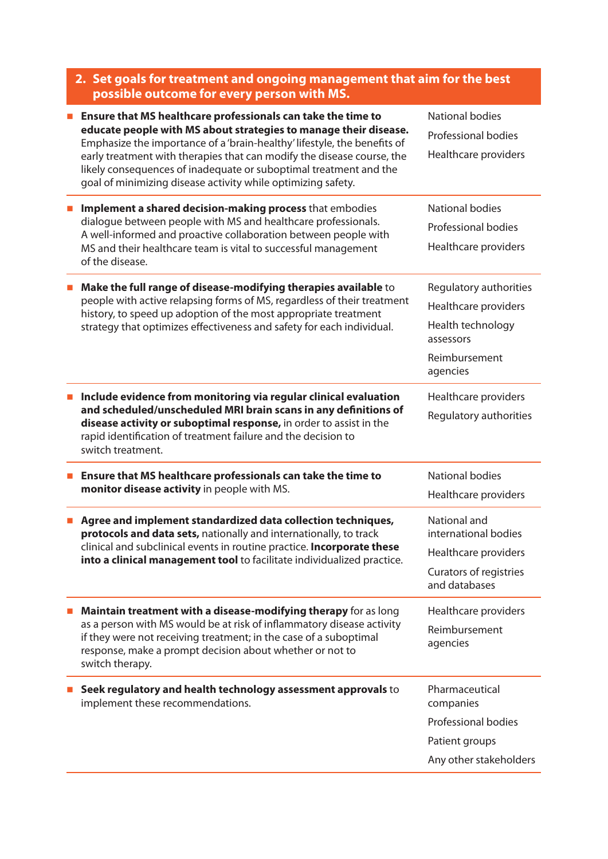|  | 2. Set goals for treatment and ongoing management that aim for the best                                                                                                                                                                                                               |                                                |  |
|--|---------------------------------------------------------------------------------------------------------------------------------------------------------------------------------------------------------------------------------------------------------------------------------------|------------------------------------------------|--|
|  | possible outcome for every person with MS.                                                                                                                                                                                                                                            |                                                |  |
|  | Ensure that MS healthcare professionals can take the time to<br>educate people with MS about strategies to manage their disease.<br>Emphasize the importance of a 'brain-healthy' lifestyle, the benefits of                                                                          | <b>National bodies</b>                         |  |
|  |                                                                                                                                                                                                                                                                                       | <b>Professional bodies</b>                     |  |
|  | early treatment with therapies that can modify the disease course, the<br>likely consequences of inadequate or suboptimal treatment and the<br>goal of minimizing disease activity while optimizing safety.                                                                           | Healthcare providers                           |  |
|  | Implement a shared decision-making process that embodies<br>dialogue between people with MS and healthcare professionals.<br>A well-informed and proactive collaboration between people with<br>MS and their healthcare team is vital to successful management<br>of the disease.     | <b>National bodies</b>                         |  |
|  |                                                                                                                                                                                                                                                                                       | Professional bodies                            |  |
|  |                                                                                                                                                                                                                                                                                       | Healthcare providers                           |  |
|  | Make the full range of disease-modifying therapies available to                                                                                                                                                                                                                       | Regulatory authorities                         |  |
|  | people with active relapsing forms of MS, regardless of their treatment<br>history, to speed up adoption of the most appropriate treatment<br>strategy that optimizes effectiveness and safety for each individual.                                                                   | Healthcare providers                           |  |
|  |                                                                                                                                                                                                                                                                                       | Health technology<br>assessors                 |  |
|  |                                                                                                                                                                                                                                                                                       | Reimbursement<br>agencies                      |  |
|  | Include evidence from monitoring via regular clinical evaluation                                                                                                                                                                                                                      | Healthcare providers<br>Regulatory authorities |  |
|  | and scheduled/unscheduled MRI brain scans in any definitions of<br>disease activity or suboptimal response, in order to assist in the<br>rapid identification of treatment failure and the decision to<br>switch treatment.                                                           |                                                |  |
|  | Ensure that MS healthcare professionals can take the time to<br>monitor disease activity in people with MS.                                                                                                                                                                           | National bodies                                |  |
|  |                                                                                                                                                                                                                                                                                       | Healthcare providers                           |  |
|  | Agree and implement standardized data collection techniques,<br>protocols and data sets, nationally and internationally, to track<br>clinical and subclinical events in routine practice. Incorporate these<br>into a clinical management tool to facilitate individualized practice. | National and<br>international bodies           |  |
|  |                                                                                                                                                                                                                                                                                       | Healthcare providers                           |  |
|  |                                                                                                                                                                                                                                                                                       | Curators of registries<br>and databases        |  |
|  | Maintain treatment with a disease-modifying therapy for as long                                                                                                                                                                                                                       | Healthcare providers                           |  |
|  | as a person with MS would be at risk of inflammatory disease activity<br>if they were not receiving treatment; in the case of a suboptimal<br>response, make a prompt decision about whether or not to<br>switch therapy.                                                             | Reimbursement                                  |  |
|  |                                                                                                                                                                                                                                                                                       | agencies                                       |  |
|  | Seek regulatory and health technology assessment approvals to<br>implement these recommendations.                                                                                                                                                                                     | Pharmaceutical<br>companies                    |  |
|  |                                                                                                                                                                                                                                                                                       | Professional bodies                            |  |
|  |                                                                                                                                                                                                                                                                                       | Patient groups                                 |  |
|  |                                                                                                                                                                                                                                                                                       | Any other stakeholders                         |  |